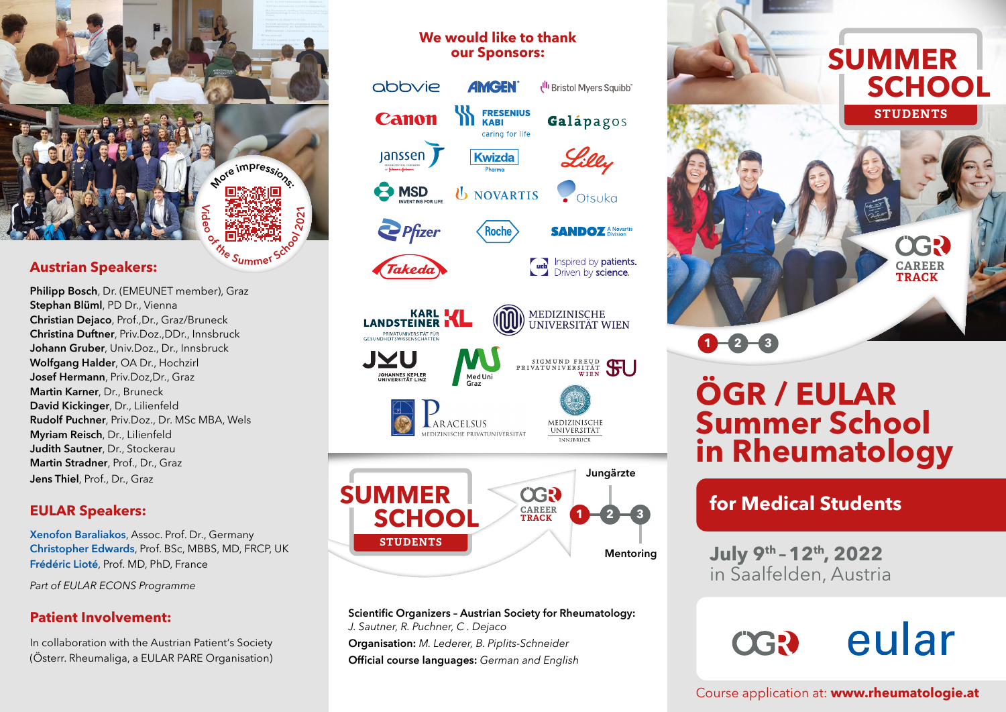**Austrian Speakers:**

**Philipp Bosch**, Dr. (EMEUNET me[mber\), Graz](https://rheumatologie.at/gesellschaft/was_wir_tun/Summer_School/) **Stephan Blüml**, PD Dr., Vienna **Christian Dejaco**, Prof.,Dr., Graz/Bruneck **Christina Duftner**, Priv.Doz.,DDr., Innsbruck **Johann Gruber**, Univ.Doz., Dr., Innsbruck **Wolfgang Halder**, OA Dr., Hochzirl **Josef Hermann**, Priv.Doz,Dr., Graz **Martin Karner**, Dr., Bruneck **David Kickinger**, Dr., Lilienfeld **Rudolf Puchner**, Priv.Doz., Dr. MSc MBA, Wels **Myriam Reisch**, Dr., Lilienfeld **Judith Sautner**, Dr., Stockerau **Martin Stradner**, Prof., Dr., Graz **Jens Thiel**, Prof., Dr., Graz

**<sup>M</sup><sup>o</sup>r<sup>e</sup> <sup>i</sup>mp<sup>r</sup>essions:**

**b t[h](https://www.rheumatologie.at)e <b>state**<br> **S different** s<br> **S summer** S<sup>SC</sup>

 $\leq$ **di eo**

## **EULAR Speakers:**

**Xenofon Baraliakos**, Assoc. Prof. Dr., Germany **Christopher Edwards**, Prof. BSc, MBBS, MD, FRCP, UK **Frédéric Lioté**, Prof. MD, PhD, France

*Part of EULAR ECONS Programme*

## **Patient Involvement:**

In collaboration with the Austrian Patient's Society (Österr. Rheumaliga, a EULAR PARE Organisation)

## **We would like to thank our Sponsors:**





SIGMUND FREUD<br>PRIVATUNIVERSITÄT



MEDIZINISCHE **UNIVERSITÄT** 



**Scientific Organizers – Austrian Society for Rheumatology:**  *J. Sautner, R. Puchner, C . Dejaco*  **Organisation:** *M. Lederer, B. Piplits-Schneider* **Official course languages:** *German and English*



# **ÖGR / EULAR Summer School in Rheumatology**

## **for Medical Students**

**July 9th – 12th, 2022** in Saalfelden, Austria

## eular **OGR**

Course application at: **[www.rheumatologie.at](https://www.rheumatologie.at)**